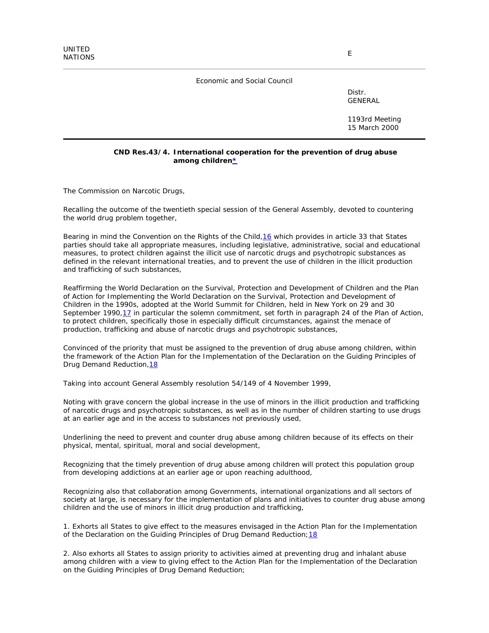## Economic and Social Council

Distr. GENERAL

1193rd Meeting 15 March 2000

## **CND Res.43/4. International cooperation for the prevention of drug abuse among children\***

*The Commission on Narcotic Drugs*,

*Recalling* the outcome of the twentieth special session of the General Assembly, devoted to countering the world drug problem together,

Bearing in mind the Convention on the Rights of the Child, 16 which provides in article 33 that States parties should take all appropriate measures, including legislative, administrative, social and educational measures, to protect children against the illicit use of narcotic drugs and psychotropic substances as defined in the relevant international treaties, and to prevent the use of children in the illicit production and trafficking of such substances,

*Reaffirming* the World Declaration on the Survival, Protection and Development of Children and the Plan of Action for Implementing the World Declaration on the Survival, Protection and Development of Children in the 1990s, adopted at the World Summit for Children, held in New York on 29 and 30 September 1990, 17 in particular the solemn commitment, set forth in paragraph 24 of the Plan of Action, to protect children, specifically those in especially difficult circumstances, against the menace of production, trafficking and abuse of narcotic drugs and psychotropic substances,

*Convinced* of the priority that must be assigned to the prevention of drug abuse among children, within the framework of the Action Plan for the Implementation of the Declaration on the Guiding Principles of Drug Demand Reduction, 18

*Taking into account* General Assembly resolution 54/149 of 4 November 1999,

*Noting with grave concern* the global increase in the use of minors in the illicit production and trafficking of narcotic drugs and psychotropic substances, as well as in the number of children starting to use drugs at an earlier age and in the access to substances not previously used,

*Underlining* the need to prevent and counter drug abuse among children because of its effects on their physical, mental, spiritual, moral and social development,

*Recognizing* that the timely prevention of drug abuse among children will protect this population group from developing addictions at an earlier age or upon reaching adulthood,

*Recognizing also* that collaboration among Governments, international organizations and all sectors of society at large, is necessary for the implementation of plans and initiatives to counter drug abuse among children and the use of minors in illicit drug production and trafficking,

1. *Exhorts* all States to give effect to the measures envisaged in the Action Plan for the Implementation of the Declaration on the Guiding Principles of Drug Demand Reduction; 18

2. *Also exhorts* all States to assign priority to activities aimed at preventing drug and inhalant abuse among children with a view to giving effect to the Action Plan for the Implementation of the Declaration on the Guiding Principles of Drug Demand Reduction;